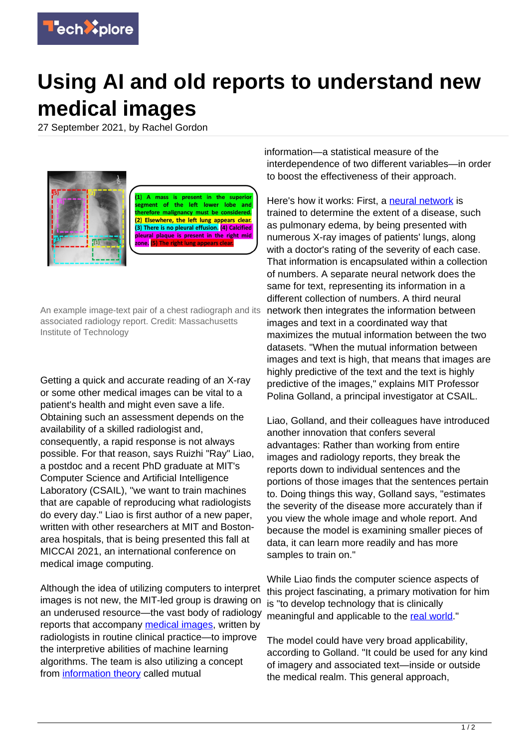

## **Using AI and old reports to understand new medical images**

27 September 2021, by Rachel Gordon



An example image-text pair of a chest radiograph and its associated radiology report. Credit: Massachusetts Institute of Technology

Getting a quick and accurate reading of an X-ray or some other medical images can be vital to a patient's health and might even save a life. Obtaining such an assessment depends on the availability of a skilled radiologist and, consequently, a rapid response is not always possible. For that reason, says Ruizhi "Ray" Liao, a postdoc and a recent PhD graduate at MIT's Computer Science and Artificial Intelligence Laboratory (CSAIL), "we want to train machines that are capable of reproducing what radiologists do every day." Liao is first author of a new paper, written with other researchers at MIT and Bostonarea hospitals, that is being presented this fall at MICCAI 2021, an international conference on medical image computing.

Although the idea of utilizing computers to interpret images is not new, the MIT-led group is drawing on an underused resource—the vast body of radiology reports that accompany [medical images,](https://techxplore.com/tags/medical+images/) written by radiologists in routine clinical practice—to improve the interpretive abilities of machine learning algorithms. The team is also utilizing a concept from [information theory](https://techxplore.com/tags/information+theory/) called mutual

information—a statistical measure of the interdependence of two different variables—in order to boost the effectiveness of their approach.

Here's how it works: First, a [neural network](https://techxplore.com/tags/neural+network/) is trained to determine the extent of a disease, such as pulmonary edema, by being presented with numerous X-ray images of patients' lungs, along with a doctor's rating of the severity of each case. That information is encapsulated within a collection of numbers. A separate neural network does the same for text, representing its information in a different collection of numbers. A third neural network then integrates the information between images and text in a coordinated way that maximizes the mutual information between the two datasets. "When the mutual information between images and text is high, that means that images are highly predictive of the text and the text is highly predictive of the images," explains MIT Professor Polina Golland, a principal investigator at CSAIL.

Liao, Golland, and their colleagues have introduced another innovation that confers several advantages: Rather than working from entire images and radiology reports, they break the reports down to individual sentences and the portions of those images that the sentences pertain to. Doing things this way, Golland says, "estimates the severity of the disease more accurately than if you view the whole image and whole report. And because the model is examining smaller pieces of data, it can learn more readily and has more samples to train on."

While Liao finds the computer science aspects of this project fascinating, a primary motivation for him is "to develop technology that is clinically meaningful and applicable to the [real world.](https://techxplore.com/tags/real+world/)"

The model could have very broad applicability, according to Golland. "It could be used for any kind of imagery and associated text—inside or outside the medical realm. This general approach,